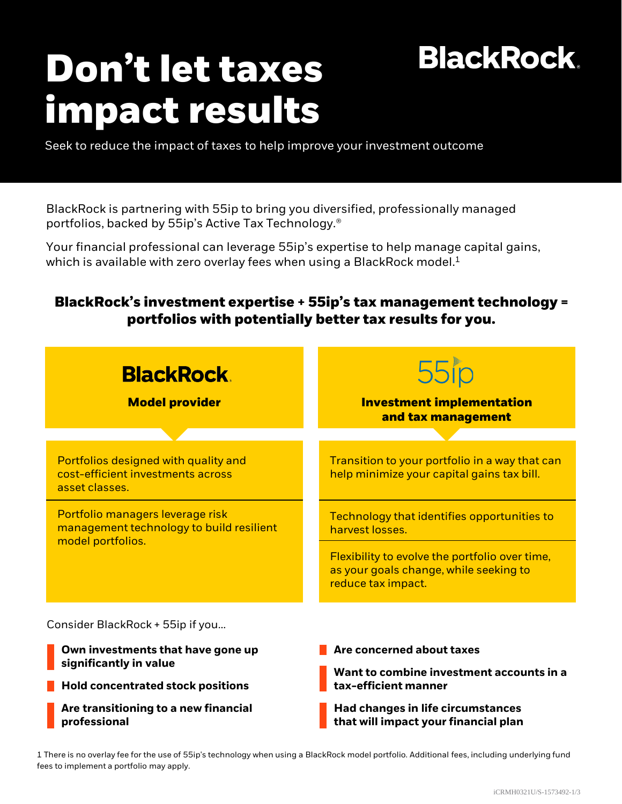## **BlackRock.**

# **Don't let taxes impact results**

Seek to reduce the impact of taxes to help improve your investment outcome

BlackRock is partnering with 55ip to bring you diversified, professionally managed portfolios, backed by 55ip's Active Tax Technology.®

Your financial professional can leverage 55ip's expertise to help manage capital gains, which is available with zero overlay fees when using a BlackRock model. $1$ 

#### **BlackRock's investment expertise + 55ip's tax management technology = portfolios with potentially better tax results for you.**

| <b>BlackRock</b><br><b>Model provider</b>                                                         | <b>Investment implementation</b><br>and tax management                                                         |
|---------------------------------------------------------------------------------------------------|----------------------------------------------------------------------------------------------------------------|
|                                                                                                   |                                                                                                                |
| Portfolios designed with quality and<br>cost-efficient investments across<br>asset classes.       | Transition to your portfolio in a way that can<br>help minimize your capital gains tax bill.                   |
| Portfolio managers leverage risk<br>management technology to build resilient<br>model portfolios. | Technology that identifies opportunities to<br>harvest losses.                                                 |
|                                                                                                   | Flexibility to evolve the portfolio over time,<br>as your goals change, while seeking to<br>reduce tax impact. |
| Consider BlackRock + 55ip if you                                                                  |                                                                                                                |
| Own investments that have gone up<br>significantly in value                                       | Are concerned about taxes                                                                                      |
|                                                                                                   | Want to combine investment accounts in a                                                                       |
| <b>Hold concentrated stock positions</b>                                                          | tax-efficient manner                                                                                           |
| Are transitioning to a new financial<br>professional                                              | <b>Had changes in life circumstances</b><br>that will impact your financial plan                               |

1 There is no overlay fee for the use of 55ip's technology when using a BlackRock model portfolio. Additional fees, including underlying fund fees to implement a portfolio may apply.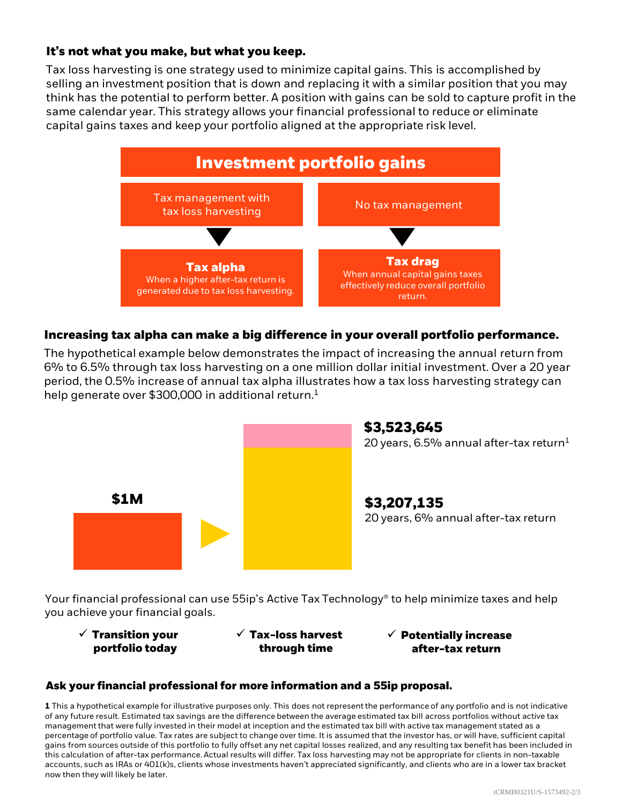#### **It's not what you make, but what you keep.**

Tax loss harvesting is one strategy used to minimize capital gains. This is accomplished by selling an investment position that is down and replacing it with a similar position that you may think has the potential to perform better. A position with gains can be sold to capture profit in the same calendar year. This strategy allows your financial professional to reduce or eliminate capital gains taxes and keep your portfolio aligned at the appropriate risk level.



#### **Increasing tax alpha can make a big difference in your overall portfolio performance.**

The hypothetical example below demonstrates the impact of increasing the annual return from 6% to 6.5% through tax loss harvesting on a one million dollar initial investment. Over a 20 year period, the 0.5% increase of annual tax alpha illustrates how a tax loss harvesting strategy can help generate over \$300,000 in additional return.<sup>1</sup>



Your financial professional can use 55ip's Active Tax Technology® to help minimize taxes and help you achieve your financial goals.



#### **Ask your financial professional for more information and a 55ip proposal.**

**1** This a hypothetical example for illustrative purposes only. This does not represent the performance of any portfolio and is not indicative of any future result. Estimated tax savings are the difference between the average estimated tax bill across portfolios without active tax management that were fully invested in their model at inception and the estimated tax bill with active tax management stated as a percentage of portfolio value. Tax rates are subject to change over time. It is assumed that the investor has, or will have, sufficient capital gains from sources outside of this portfolio to fully offset any net capital losses realized, and any resulting tax benefit has been included in this calculation of after-tax performance. Actual results will differ. Tax loss harvesting may not be appropriate for clients in non-taxable accounts, such as IRAs or 401(k)s, clients whose investments haven't appreciated significantly, and clients who are in a lower tax bracket now then they will likely be later.